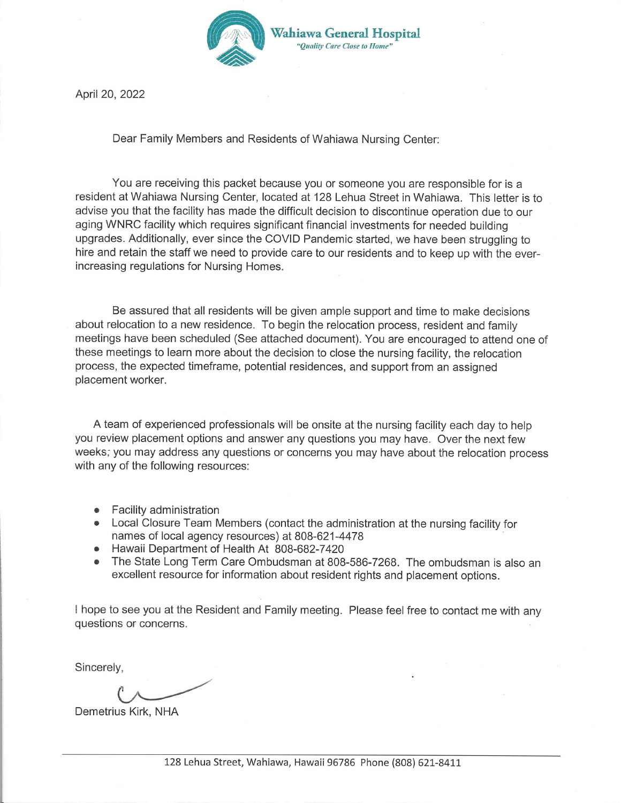

April 20, 2022

Dear Family Members and Residents of Wahiawa Nursing Center:

You are receiving this packet because you or someone you are responsible for is a resident at Wahiawa Nursing Center, located at 128 Lehua Street in Wahiawa. This letter is to advise you that the facility has made the difficult decision to discontinue operation due to our aging WNRC facility which requires significant financial investments for needed building upgrades. Additionally, ever since the COVID Pandemic started, we have been struggling to hire and retain the staff we need to provide care to our residents and to keep up with the everincreasing regulations for Nursing Homes.

Be assured that all residents will be given ample support and time to make decisions about relocation to a new residence. To begin the relocation process, resident and family meetings have been scheduled (See attached document). You are encouraged to attend one of these meetings to learn more about the decision to close the nursing facility, the relocation process, the expected timeframe, potential residences, and support from an assigned placement worker.

A team of experienced professionals will be onsite at the nursing facility each day to help you review placement options and answer any questions you may have. Over the next few weeks; you may address any questions or concerns you may have about the relocation process with any of the following resources:

- Facility administration
- Local Closure Team Members (contact the administration at the nursing facility for names of local agency resources) at 808-621-4478
- Hawaii Department of Health At 808-682-7420
- The State Long Term Care Ombudsman at 808-586-7268. The ombudsman is also an excellent resource for information about resident rights and placement options.

I hope to see you at the Resident and Family meeting. Please feel free to contact me with any questions or concerns.

Sincerely,

Demetrius Kirk, NHA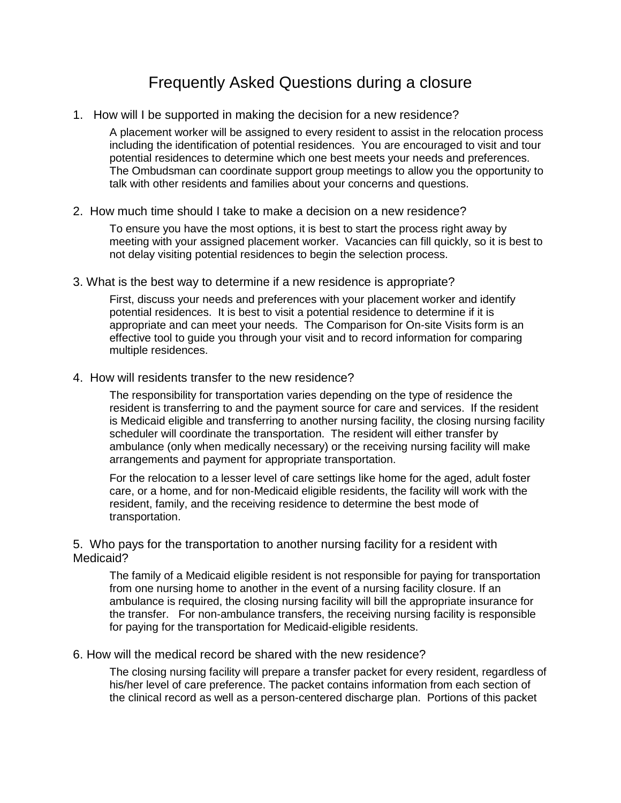### Frequently Asked Questions during a closure

1. How will I be supported in making the decision for a new residence?

A placement worker will be assigned to every resident to assist in the relocation process including the identification of potential residences. You are encouraged to visit and tour potential residences to determine which one best meets your needs and preferences. The Ombudsman can coordinate support group meetings to allow you the opportunity to talk with other residents and families about your concerns and questions.

2. How much time should I take to make a decision on a new residence?

To ensure you have the most options, it is best to start the process right away by meeting with your assigned placement worker. Vacancies can fill quickly, so it is best to not delay visiting potential residences to begin the selection process.

3. What is the best way to determine if a new residence is appropriate?

First, discuss your needs and preferences with your placement worker and identify potential residences. It is best to visit a potential residence to determine if it is appropriate and can meet your needs. The Comparison for On-site Visits form is an effective tool to guide you through your visit and to record information for comparing multiple residences.

4. How will residents transfer to the new residence?

The responsibility for transportation varies depending on the type of residence the resident is transferring to and the payment source for care and services. If the resident is Medicaid eligible and transferring to another nursing facility, the closing nursing facility scheduler will coordinate the transportation. The resident will either transfer by ambulance (only when medically necessary) or the receiving nursing facility will make arrangements and payment for appropriate transportation.

For the relocation to a lesser level of care settings like home for the aged, adult foster care, or a home, and for non-Medicaid eligible residents, the facility will work with the resident, family, and the receiving residence to determine the best mode of transportation.

5. Who pays for the transportation to another nursing facility for a resident with Medicaid?

The family of a Medicaid eligible resident is not responsible for paying for transportation from one nursing home to another in the event of a nursing facility closure. If an ambulance is required, the closing nursing facility will bill the appropriate insurance for the transfer. For non-ambulance transfers, the receiving nursing facility is responsible for paying for the transportation for Medicaid-eligible residents.

#### 6. How will the medical record be shared with the new residence?

The closing nursing facility will prepare a transfer packet for every resident, regardless of his/her level of care preference. The packet contains information from each section of the clinical record as well as a person-centered discharge plan. Portions of this packet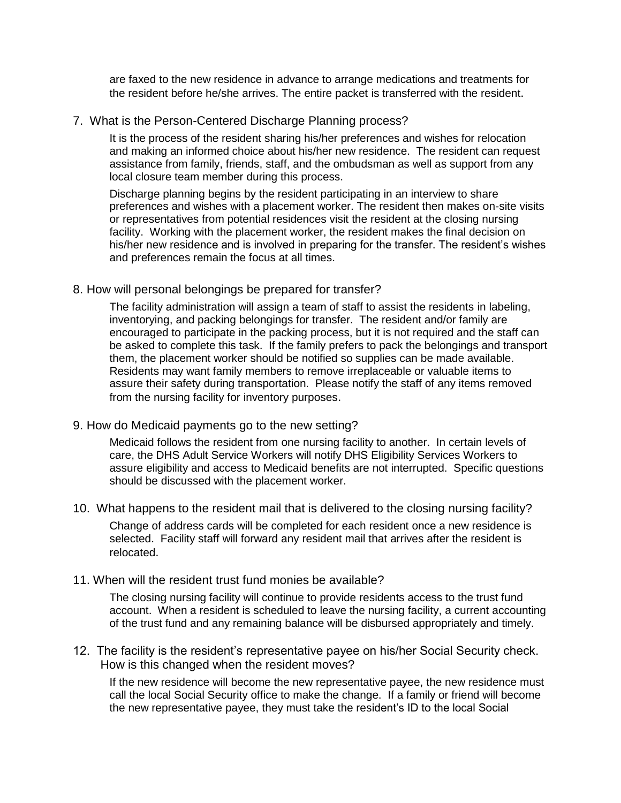are faxed to the new residence in advance to arrange medications and treatments for the resident before he/she arrives. The entire packet is transferred with the resident.

#### 7. What is the Person-Centered Discharge Planning process?

It is the process of the resident sharing his/her preferences and wishes for relocation and making an informed choice about his/her new residence. The resident can request assistance from family, friends, staff, and the ombudsman as well as support from any local closure team member during this process.

Discharge planning begins by the resident participating in an interview to share preferences and wishes with a placement worker. The resident then makes on-site visits or representatives from potential residences visit the resident at the closing nursing facility. Working with the placement worker, the resident makes the final decision on his/her new residence and is involved in preparing for the transfer. The resident's wishes and preferences remain the focus at all times.

#### 8. How will personal belongings be prepared for transfer?

The facility administration will assign a team of staff to assist the residents in labeling, inventorying, and packing belongings for transfer. The resident and/or family are encouraged to participate in the packing process, but it is not required and the staff can be asked to complete this task. If the family prefers to pack the belongings and transport them, the placement worker should be notified so supplies can be made available. Residents may want family members to remove irreplaceable or valuable items to assure their safety during transportation. Please notify the staff of any items removed from the nursing facility for inventory purposes.

#### 9. How do Medicaid payments go to the new setting?

Medicaid follows the resident from one nursing facility to another. In certain levels of care, the DHS Adult Service Workers will notify DHS Eligibility Services Workers to assure eligibility and access to Medicaid benefits are not interrupted. Specific questions should be discussed with the placement worker.

#### 10. What happens to the resident mail that is delivered to the closing nursing facility?

Change of address cards will be completed for each resident once a new residence is selected. Facility staff will forward any resident mail that arrives after the resident is relocated.

#### 11. When will the resident trust fund monies be available?

The closing nursing facility will continue to provide residents access to the trust fund account. When a resident is scheduled to leave the nursing facility, a current accounting of the trust fund and any remaining balance will be disbursed appropriately and timely.

#### 12. The facility is the resident's representative payee on his/her Social Security check. How is this changed when the resident moves?

If the new residence will become the new representative payee, the new residence must call the local Social Security office to make the change. If a family or friend will become the new representative payee, they must take the resident's ID to the local Social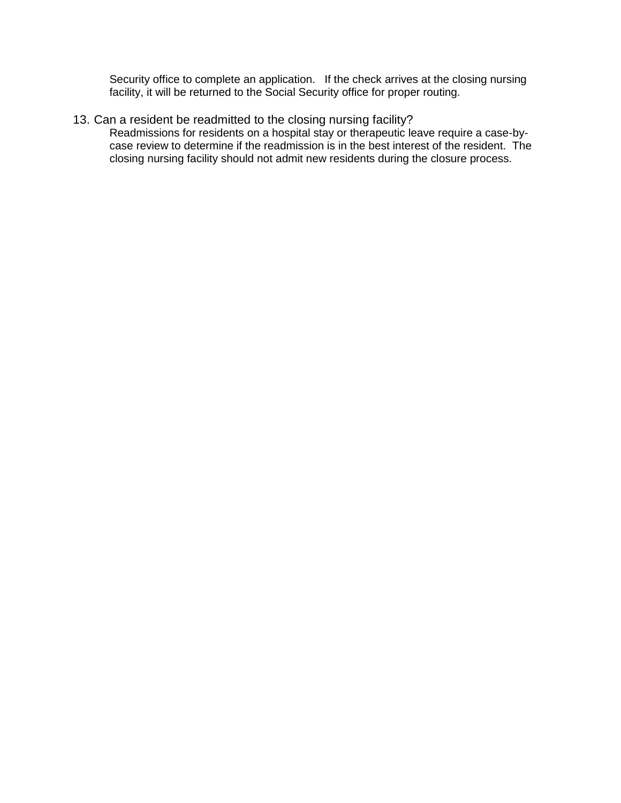Security office to complete an application. If the check arrives at the closing nursing facility, it will be returned to the Social Security office for proper routing.

13. Can a resident be readmitted to the closing nursing facility?

Readmissions for residents on a hospital stay or therapeutic leave require a case-bycase review to determine if the readmission is in the best interest of the resident. The closing nursing facility should not admit new residents during the closure process.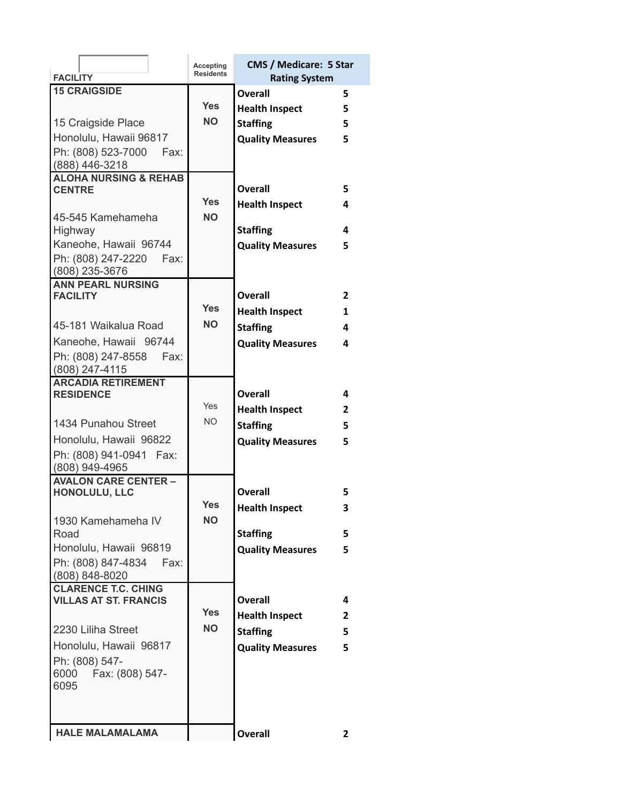| <b>FACILITY</b>                                | Accepting<br><b>Residents</b> | <b>CMS / Medicare: 5 Star</b><br><b>Rating System</b> |              |
|------------------------------------------------|-------------------------------|-------------------------------------------------------|--------------|
| <b>15 CRAIGSIDE</b>                            |                               | Overall                                               | 5            |
|                                                | <b>Yes</b>                    | <b>Health Inspect</b>                                 | 5            |
| 15 Craigside Place                             | <b>NO</b>                     | <b>Staffing</b>                                       | 5            |
| Honolulu, Hawaii 96817                         |                               |                                                       | 5            |
| Ph: (808) 523-7000<br>Fax:                     |                               | <b>Quality Measures</b>                               |              |
| (888) 446-3218                                 |                               |                                                       |              |
| <b>ALOHA NURSING &amp; REHAB</b>               |                               |                                                       |              |
| <b>CENTRE</b>                                  |                               | Overall                                               | 5            |
|                                                | <b>Yes</b>                    | <b>Health Inspect</b>                                 | 4            |
| 45-545 Kamehameha                              | <b>NO</b>                     |                                                       |              |
| Highway                                        |                               | <b>Staffing</b>                                       | 4            |
| Kaneohe, Hawaii 96744                          |                               | <b>Quality Measures</b>                               | 5.           |
| Ph: (808) 247-2220<br>Fax:                     |                               |                                                       |              |
| (808) 235-3676                                 |                               |                                                       |              |
| <b>ANN PEARL NURSING</b><br><b>FACILITY</b>    |                               | Overall                                               | $\mathbf{2}$ |
|                                                | <b>Yes</b>                    |                                                       |              |
| 45-181 Waikalua Road                           | <b>NO</b>                     | <b>Health Inspect</b>                                 | 1            |
|                                                |                               | <b>Staffing</b>                                       | 4            |
| Kaneohe, Hawaii 96744                          |                               | <b>Quality Measures</b>                               | 4            |
| Ph: (808) 247-8558<br>Fax:<br>$(808)$ 247-4115 |                               |                                                       |              |
| <b>ARCADIA RETIREMENT</b>                      |                               |                                                       |              |
| <b>RESIDENCE</b>                               |                               | <b>Overall</b>                                        | 4            |
|                                                | Yes                           | <b>Health Inspect</b>                                 | $\mathbf{2}$ |
| 1434 Punahou Street                            | NO.                           | <b>Staffing</b>                                       | 5            |
| Honolulu, Hawaii 96822                         |                               | <b>Quality Measures</b>                               | 5.           |
| Ph: (808) 941-0941 Fax:                        |                               |                                                       |              |
| (808) 949-4965                                 |                               |                                                       |              |
| <b>AVALON CARE CENTER -</b>                    |                               |                                                       |              |
| HONOLULU, LLC                                  |                               | Overall                                               | 5            |
|                                                | <b>Yes</b>                    | <b>Health Inspect</b>                                 | 3            |
| 1930 Kamehameha IV                             | <b>NO</b>                     |                                                       |              |
| Road                                           |                               | <b>Staffing</b>                                       | 5            |
| Honolulu, Hawaii 96819                         |                               | <b>Quality Measures</b>                               | 5            |
| Ph: (808) 847-4834<br>Fax:                     |                               |                                                       |              |
| (808) 848-8020<br><b>CLARENCE T.C. CHING</b>   |                               |                                                       |              |
| <b>VILLAS AT ST. FRANCIS</b>                   |                               | Overall                                               | 4            |
|                                                | <b>Yes</b>                    | <b>Health Inspect</b>                                 | 2            |
| 2230 Liliha Street                             | NO.                           | <b>Staffing</b>                                       | 5            |
| Honolulu, Hawaii 96817                         |                               |                                                       | 5            |
| Ph: (808) 547-                                 |                               | <b>Quality Measures</b>                               |              |
| 6000 Fax: (808) 547-                           |                               |                                                       |              |
| 6095                                           |                               |                                                       |              |
|                                                |                               |                                                       |              |
|                                                |                               |                                                       |              |
| <b>HALE MALAMALAMA</b>                         |                               | <b>Overall</b>                                        | 2            |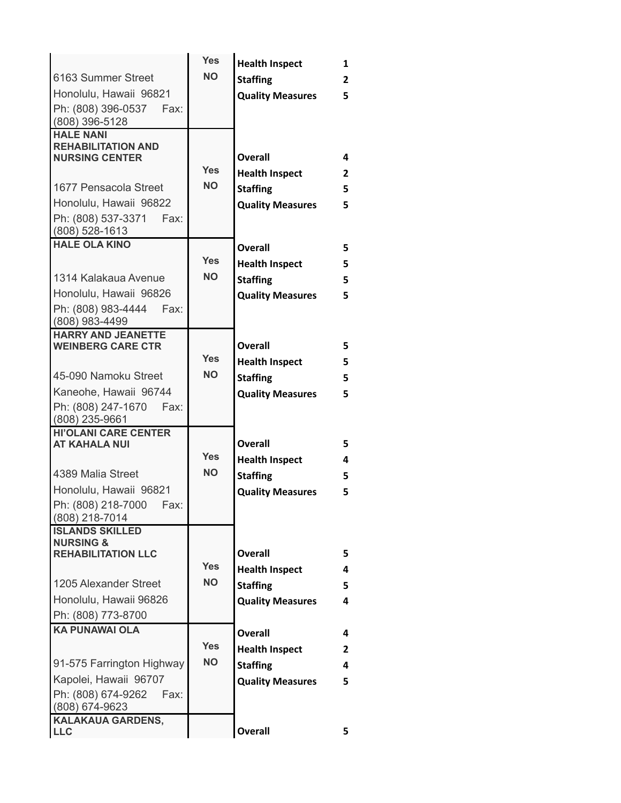|                                                     | <b>Yes</b> | <b>Health Inspect</b>                            | 1              |
|-----------------------------------------------------|------------|--------------------------------------------------|----------------|
| 6163 Summer Street                                  | <b>NO</b>  | <b>Staffing</b>                                  | $\overline{2}$ |
| Honolulu, Hawaii 96821                              |            | <b>Quality Measures</b>                          | 5              |
| Ph: (808) 396-0537<br>Fax:                          |            |                                                  |                |
| (808) 396-5128<br><b>HALE NANI</b>                  |            |                                                  |                |
| <b>REHABILITATION AND</b>                           |            |                                                  |                |
| <b>NURSING CENTER</b>                               |            | <b>Overall</b>                                   | 4              |
|                                                     | <b>Yes</b> | <b>Health Inspect</b>                            | $\overline{2}$ |
| 1677 Pensacola Street                               | <b>NO</b>  | <b>Staffing</b>                                  | 5              |
| Honolulu, Hawaii 96822                              |            | <b>Quality Measures</b>                          | 5              |
| Ph: (808) 537-3371<br>Fax:                          |            |                                                  |                |
| $(808)$ 528-1613<br><b>HALE OLA KINO</b>            |            |                                                  |                |
|                                                     | <b>Yes</b> | Overall                                          | 5.             |
| 1314 Kalakaua Avenue                                | <b>NO</b>  | <b>Health Inspect</b>                            | 5              |
| Honolulu, Hawaii 96826                              |            | <b>Staffing</b>                                  | 5              |
| Ph: (808) 983-4444<br>Fax:                          |            | <b>Quality Measures</b>                          | 5              |
| $(808)$ 983-4499                                    |            |                                                  |                |
| <b>HARRY AND JEANETTE</b>                           |            |                                                  |                |
| <b>WEINBERG CARE CTR</b>                            | <b>Yes</b> | <b>Overall</b>                                   | 5              |
|                                                     | <b>NO</b>  | <b>Health Inspect</b>                            | 5              |
| 45-090 Namoku Street                                |            | <b>Staffing</b>                                  | 5              |
| Kaneohe, Hawaii 96744                               |            | <b>Quality Measures</b>                          | 5              |
| Ph: (808) 247-1670<br>Fax:<br>(808) 235-9661        |            |                                                  |                |
| <b>HI'OLANI CARE CENTER</b><br><b>AT KAHALA NUI</b> |            | Overall                                          | 5              |
|                                                     | <b>Yes</b> | <b>Health Inspect</b>                            | 4              |
| 4389 Malia Street                                   | <b>NO</b>  | <b>Staffing</b>                                  | 5.             |
| Honolulu, Hawaii 96821                              |            | <b>Quality Measures</b>                          | 5              |
| Ph: (808) 218-7000  Fax:                            |            |                                                  |                |
| (808) 218-7014                                      |            |                                                  |                |
| <b>ISLANDS SKILLED</b>                              |            |                                                  |                |
| <b>NURSING &amp;</b><br><b>REHABILITATION LLC</b>   |            | <b>Overall</b>                                   | 5.             |
|                                                     | <b>Yes</b> | <b>Health Inspect</b>                            | 4              |
| 1205 Alexander Street                               | <b>NO</b>  | <b>Staffing</b>                                  | 5.             |
| Honolulu, Hawaii 96826                              |            | <b>Quality Measures</b>                          | 4              |
| Ph: (808) 773-8700                                  |            |                                                  |                |
| <b>KA PUNAWAI OLA</b>                               |            | <b>Overall</b>                                   | 4              |
|                                                     | <b>Yes</b> |                                                  | 2              |
| 91-575 Farrington Highway                           | <b>NO</b>  | <b>Staffing</b>                                  | 4              |
| Kapolei, Hawaii 96707                               |            |                                                  | 5              |
| Ph: (808) 674-9262    Fax:                          |            |                                                  |                |
| (808) 674-9623                                      |            |                                                  |                |
|                                                     |            | <b>Overall</b>                                   | 5.             |
| <b>KALAKAUA GARDENS,</b><br><b>LLC</b>              |            | <b>Health Inspect</b><br><b>Quality Measures</b> |                |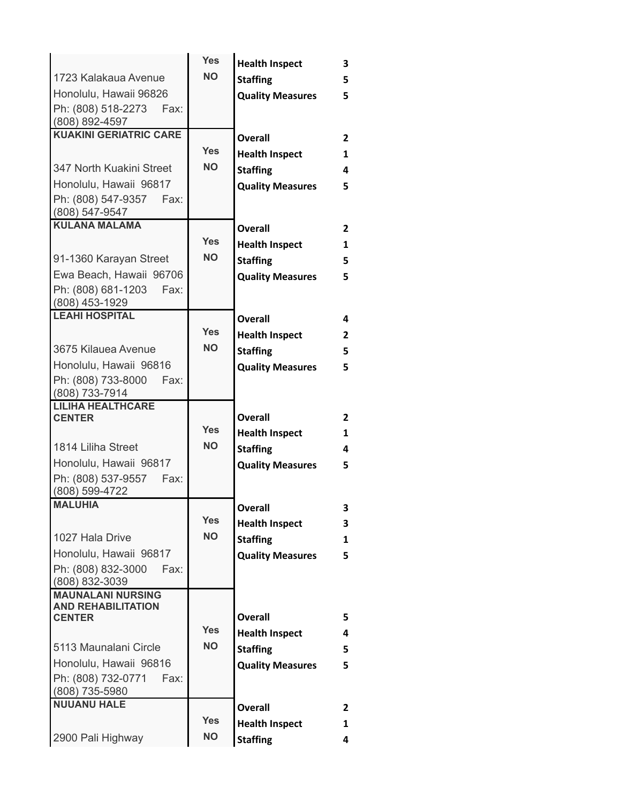|                                                       | <b>Yes</b> | <b>Health Inspect</b>   | 3              |
|-------------------------------------------------------|------------|-------------------------|----------------|
| 1723 Kalakaua Avenue                                  | <b>NO</b>  | <b>Staffing</b>         | 5              |
| Honolulu, Hawaii 96826                                |            | <b>Quality Measures</b> | 5              |
| Ph: (808) 518-2273<br>Fax:                            |            |                         |                |
| (808) 892-4597<br><b>KUAKINI GERIATRIC CARE</b>       |            |                         |                |
|                                                       | <b>Yes</b> | Overall                 | $\overline{2}$ |
|                                                       | <b>NO</b>  | <b>Health Inspect</b>   | 1              |
| 347 North Kuakini Street                              |            | <b>Staffing</b>         | 4              |
| Honolulu, Hawaii 96817                                |            | <b>Quality Measures</b> | 5              |
| Ph: (808) 547-9357<br>Fax:<br>(808) 547-9547          |            |                         |                |
| <b>KULANA MALAMA</b>                                  |            | <b>Overall</b>          | $\overline{2}$ |
|                                                       | <b>Yes</b> | <b>Health Inspect</b>   | 1              |
| 91-1360 Karayan Street                                | NΟ         | <b>Staffing</b>         | 5              |
| Ewa Beach, Hawaii 96706                               |            | <b>Quality Measures</b> | 5              |
| Ph: (808) 681-1203<br>Fax:                            |            |                         |                |
| (808) 453-1929                                        |            |                         |                |
| <b>LEAHI HOSPITAL</b>                                 |            | <b>Overall</b>          | 4              |
|                                                       | <b>Yes</b> | <b>Health Inspect</b>   | $\mathbf{2}$   |
| 3675 Kilauea Avenue                                   | <b>NO</b>  | <b>Staffing</b>         | 5              |
| Honolulu, Hawaii 96816                                |            | <b>Quality Measures</b> | 5              |
| Ph: (808) 733-8000<br>Fax:<br>(808) 733-7914          |            |                         |                |
| <b>LILIHA HEALTHCARE</b>                              |            |                         |                |
| <b>CENTER</b>                                         | <b>Yes</b> | Overall                 | $\overline{2}$ |
|                                                       | <b>NO</b>  | <b>Health Inspect</b>   | $\mathbf{1}$   |
| 1814 Liliha Street                                    |            | <b>Staffing</b>         | 4              |
| Honolulu, Hawaii 96817                                |            | <b>Quality Measures</b> | 5              |
| Ph: (808) 537-9557<br>Fax:<br>(808) 599-4722          |            |                         |                |
| <b>MALUHIA</b>                                        |            | <b>Overall</b>          | 3              |
|                                                       | <b>Yes</b> | <b>Health Inspect</b>   | 3              |
| 1027 Hala Drive                                       | <b>NO</b>  | <b>Staffing</b>         | 1              |
| Honolulu, Hawaii 96817                                |            | <b>Quality Measures</b> | 5              |
| Ph: (808) 832-3000<br>Fax:                            |            |                         |                |
| (808) 832-3039                                        |            |                         |                |
| <b>MAUNALANI NURSING</b><br><b>AND REHABILITATION</b> |            |                         |                |
| <b>CENTER</b>                                         |            | <b>Overall</b>          | 5.             |
|                                                       | Yes        | <b>Health Inspect</b>   | 4              |
| 5113 Maunalani Circle                                 | <b>NO</b>  | <b>Staffing</b>         | 5              |
| Honolulu, Hawaii 96816                                |            | <b>Quality Measures</b> | 5              |
| Ph: (808) 732-0771<br>Fax:                            |            |                         |                |
| (808) 735-5980                                        |            |                         |                |
| <b>NUUANU HALE</b>                                    |            | <b>Overall</b>          | 2              |
|                                                       | <b>Yes</b> | <b>Health Inspect</b>   | 1              |
| 2900 Pali Highway                                     | <b>NO</b>  | <b>Staffing</b>         | 4              |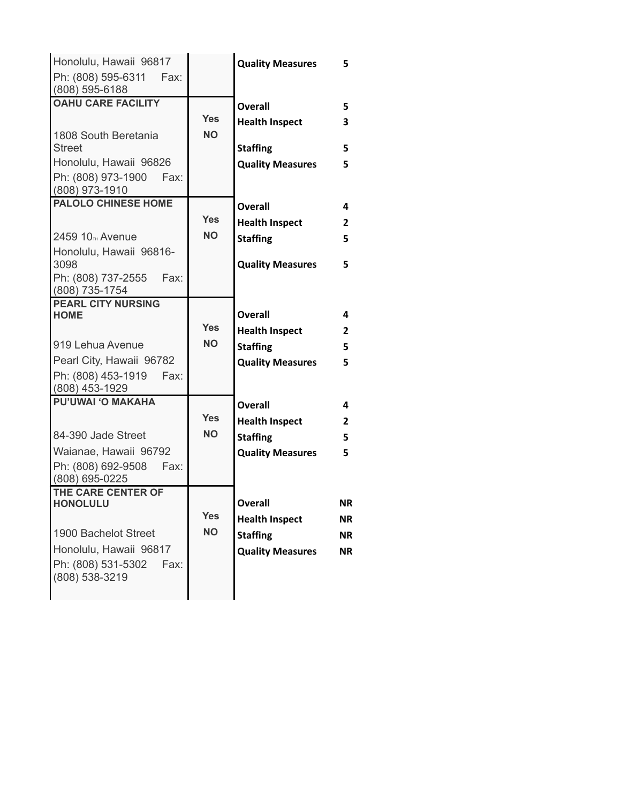| Honolulu, Hawaii 96817<br>Ph: (808) 595-6311<br>Fax:                     |                         | <b>Quality Measures</b>                  | 5              |
|--------------------------------------------------------------------------|-------------------------|------------------------------------------|----------------|
| (808) 595-6188<br><b>OAHU CARE FACILITY</b>                              |                         | <b>Overall</b>                           | 5              |
| 1808 South Beretania<br><b>Street</b>                                    | <b>Yes</b><br><b>NO</b> | <b>Health Inspect</b><br><b>Staffing</b> | 3<br>5         |
| Honolulu, Hawaii 96826<br>Ph: (808) 973-1900<br>Fax:                     |                         | <b>Quality Measures</b>                  | 5              |
| (808) 973-1910<br><b>PALOLO CHINESE HOME</b>                             |                         | <b>Overall</b>                           | 4              |
|                                                                          | <b>Yes</b>              | <b>Health Inspect</b>                    | $\overline{2}$ |
| 2459 10 <sub>TH</sub> Avenue                                             | <b>NO</b>               | <b>Staffing</b>                          | 5              |
| Honolulu, Hawaii 96816-<br>3098<br>Ph: (808) 737-2555<br>Fax:            |                         | <b>Quality Measures</b>                  | 5              |
| (808) 735-1754<br><b>PEARL CITY NURSING</b>                              |                         |                                          |                |
| <b>HOME</b>                                                              |                         | Overall                                  | 4              |
|                                                                          | <b>Yes</b><br><b>NO</b> | <b>Health Inspect</b>                    | $\overline{2}$ |
| 919 Lehua Avenue                                                         |                         | <b>Staffing</b>                          | 5              |
| Pearl City, Hawaii 96782<br>Ph: (808) 453-1919<br>Fax:<br>(808) 453-1929 |                         | <b>Quality Measures</b>                  | 5              |
| <b>PU'UWAI 'O MAKAHA</b>                                                 |                         | Overall                                  | 4              |
|                                                                          | <b>Yes</b>              | <b>Health Inspect</b>                    | $\overline{2}$ |
| 84-390 Jade Street                                                       | <b>NO</b>               | <b>Staffing</b>                          | 5              |
| Waianae, Hawaii 96792<br>Ph: (808) 692-9508<br>Fax:<br>(808) 695-0225    |                         | <b>Quality Measures</b>                  | 5              |
| THE CARE CENTER OF                                                       |                         | <b>Overall</b>                           | NR.            |
| <b>HONOLULU</b>                                                          | <b>Yes</b>              | <b>Health Inspect</b>                    | NR.            |
| 1900 Bachelot Street                                                     | <b>NO</b>               | <b>Staffing</b>                          | NR.            |
| Honolulu, Hawaii 96817                                                   |                         | <b>Quality Measures</b>                  | NR.            |
| Ph: (808) 531-5302<br>Fax:<br>(808) 538-3219                             |                         |                                          |                |
|                                                                          |                         |                                          |                |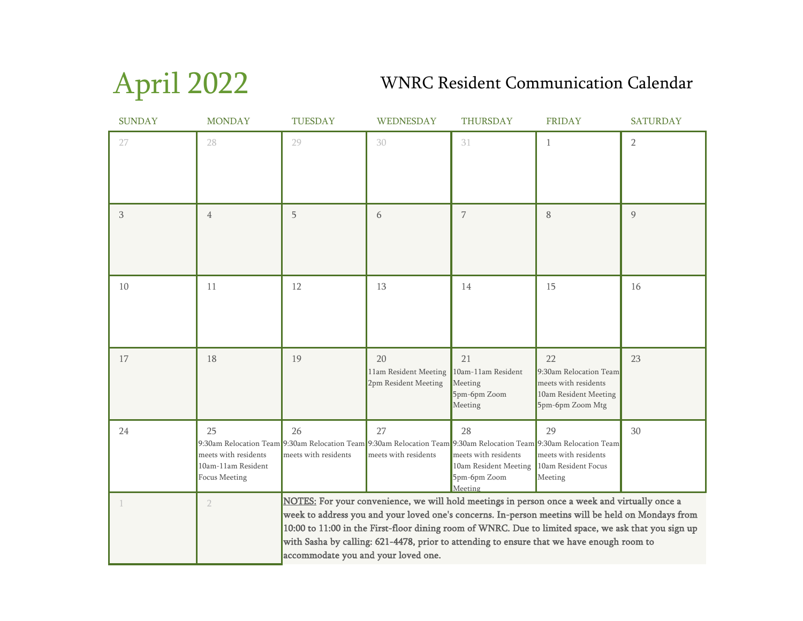April 2022

## WNRC Resident Communication Calendar

| <b>SUNDAY</b> | <b>MONDAY</b>                                                            | <b>TUESDAY</b>                                                                                                                                                                                                                                                                                                                                                                                                                                 | WEDNESDAY                                                                                                                                        | <b>THURSDAY</b>                                                                | <b>FRIDAY</b>                                                                                     | <b>SATURDAY</b> |
|---------------|--------------------------------------------------------------------------|------------------------------------------------------------------------------------------------------------------------------------------------------------------------------------------------------------------------------------------------------------------------------------------------------------------------------------------------------------------------------------------------------------------------------------------------|--------------------------------------------------------------------------------------------------------------------------------------------------|--------------------------------------------------------------------------------|---------------------------------------------------------------------------------------------------|-----------------|
| 27            | 28                                                                       | 29                                                                                                                                                                                                                                                                                                                                                                                                                                             | 30                                                                                                                                               | 31                                                                             | 1                                                                                                 | $\overline{2}$  |
| 3             | $\overline{4}$                                                           | 5                                                                                                                                                                                                                                                                                                                                                                                                                                              | 6                                                                                                                                                | 7                                                                              | 8                                                                                                 | 9               |
| 10            | 11                                                                       | 12                                                                                                                                                                                                                                                                                                                                                                                                                                             | 13                                                                                                                                               | 14                                                                             | 15                                                                                                | 16              |
| 17            | 18                                                                       | 19                                                                                                                                                                                                                                                                                                                                                                                                                                             | 20<br>11am Resident Meeting<br>2pm Resident Meeting                                                                                              | 21<br>10am-11am Resident<br>Meeting<br>5pm-6pm Zoom<br>Meeting                 | 22<br>9:30am Relocation Team<br>meets with residents<br>10am Resident Meeting<br>5pm-6pm Zoom Mtg | 23              |
| 24            | 25<br>meets with residents<br>10am-11am Resident<br><b>Focus Meeting</b> | 26<br>meets with residents                                                                                                                                                                                                                                                                                                                                                                                                                     | 27<br>9:30am Relocation Team 9:30am Relocation Team 9:30am Relocation Team 9:30am Relocation Team 9:30am Relocation Team<br>meets with residents | 28<br>meets with residents<br>10am Resident Meeting<br>5pm-6pm Zoom<br>Meeting | 29<br>meets with residents<br>10am Resident Focus<br>Meeting                                      | 30              |
|               | $\overline{2}$                                                           | NOTES: For your convenience, we will hold meetings in person once a week and virtually once a<br>week to address you and your loved one's concerns. In-person meetins will be held on Mondays from<br>10:00 to 11:00 in the First-floor dining room of WNRC. Due to limited space, we ask that you sign up<br>with Sasha by calling: 621-4478, prior to attending to ensure that we have enough room to<br>accommodate you and your loved one. |                                                                                                                                                  |                                                                                |                                                                                                   |                 |